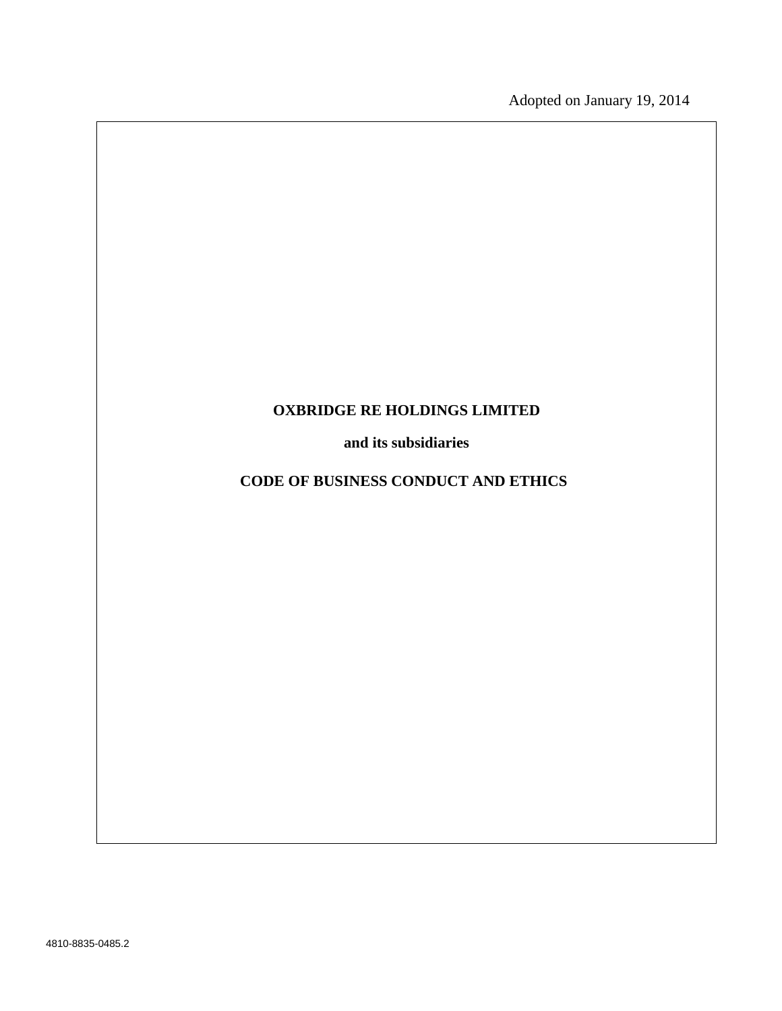Adopted on January 19, 2014

# **OXBRIDGE RE HOLDINGS LIMITED and its subsidiaries CODE OF BUSINESS CONDUCT AND ETHICS**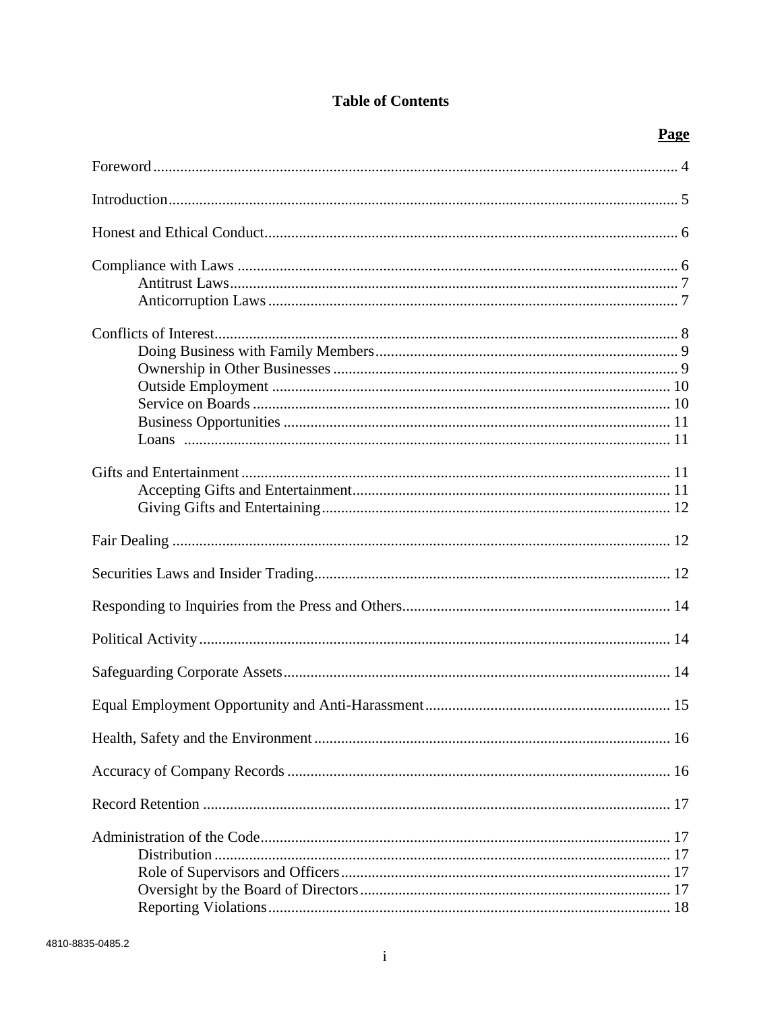# **Table of Contents**

| Page |
|------|
|      |
|      |
|      |
|      |
|      |
|      |
|      |
|      |
|      |
|      |
|      |
|      |
|      |
|      |
|      |
|      |
|      |
|      |
|      |
|      |
|      |
|      |
|      |
|      |
|      |
|      |
|      |
|      |
|      |
|      |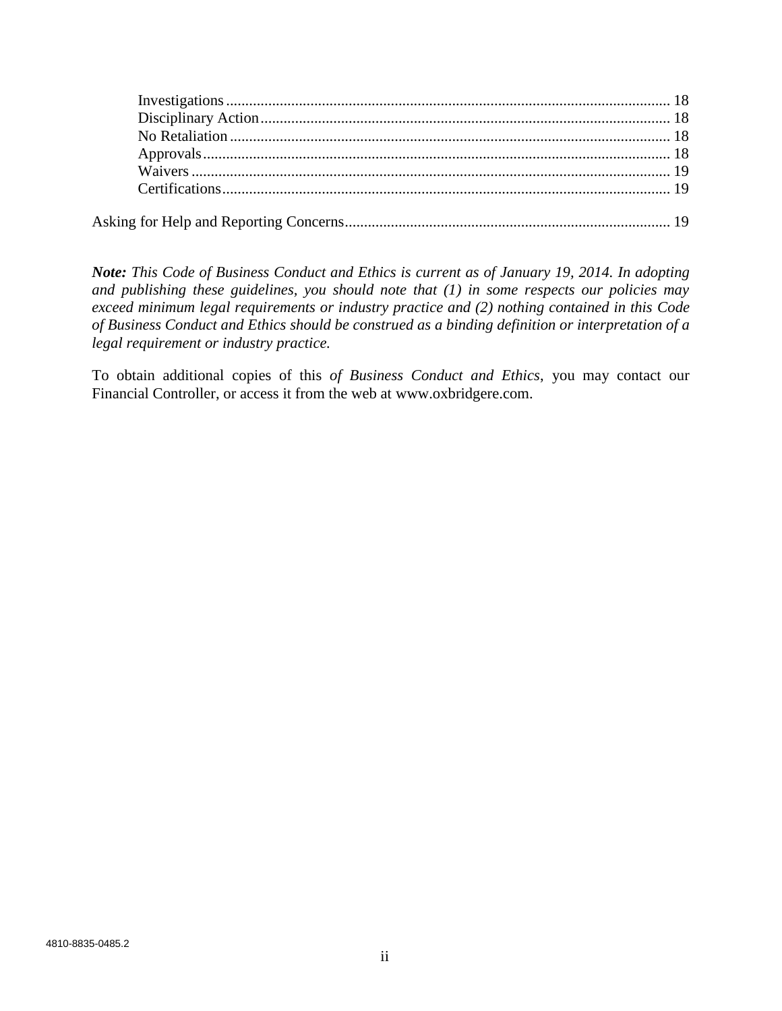*Note: This Code of Business Conduct and Ethics is current as of January 19, 2014. In adopting and publishing these guidelines, you should note that (1) in some respects our policies may exceed minimum legal requirements or industry practice and (2) nothing contained in this Code of Business Conduct and Ethics should be construed as a binding definition or interpretation of a legal requirement or industry practice.*

To obtain additional copies of this *of Business Conduct and Ethics*, you may contact our Financial Controller, or access it from the web at www.oxbridgere.com.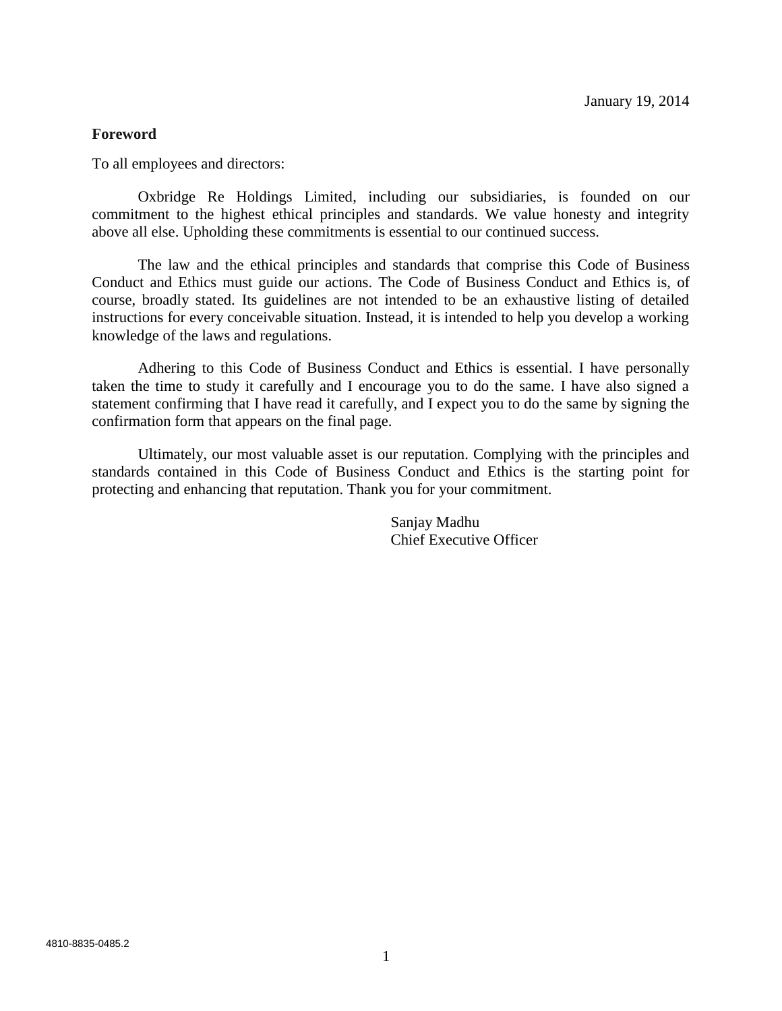# <span id="page-3-0"></span>**Foreword**

To all employees and directors:

Oxbridge Re Holdings Limited, including our subsidiaries, is founded on our commitment to the highest ethical principles and standards. We value honesty and integrity above all else. Upholding these commitments is essential to our continued success.

The law and the ethical principles and standards that comprise this Code of Business Conduct and Ethics must guide our actions. The Code of Business Conduct and Ethics is, of course, broadly stated. Its guidelines are not intended to be an exhaustive listing of detailed instructions for every conceivable situation. Instead, it is intended to help you develop a working knowledge of the laws and regulations.

Adhering to this Code of Business Conduct and Ethics is essential. I have personally taken the time to study it carefully and I encourage you to do the same. I have also signed a statement confirming that I have read it carefully, and I expect you to do the same by signing the confirmation form that appears on the final page.

Ultimately, our most valuable asset is our reputation. Complying with the principles and standards contained in this Code of Business Conduct and Ethics is the starting point for protecting and enhancing that reputation. Thank you for your commitment.

> Sanjay Madhu Chief Executive Officer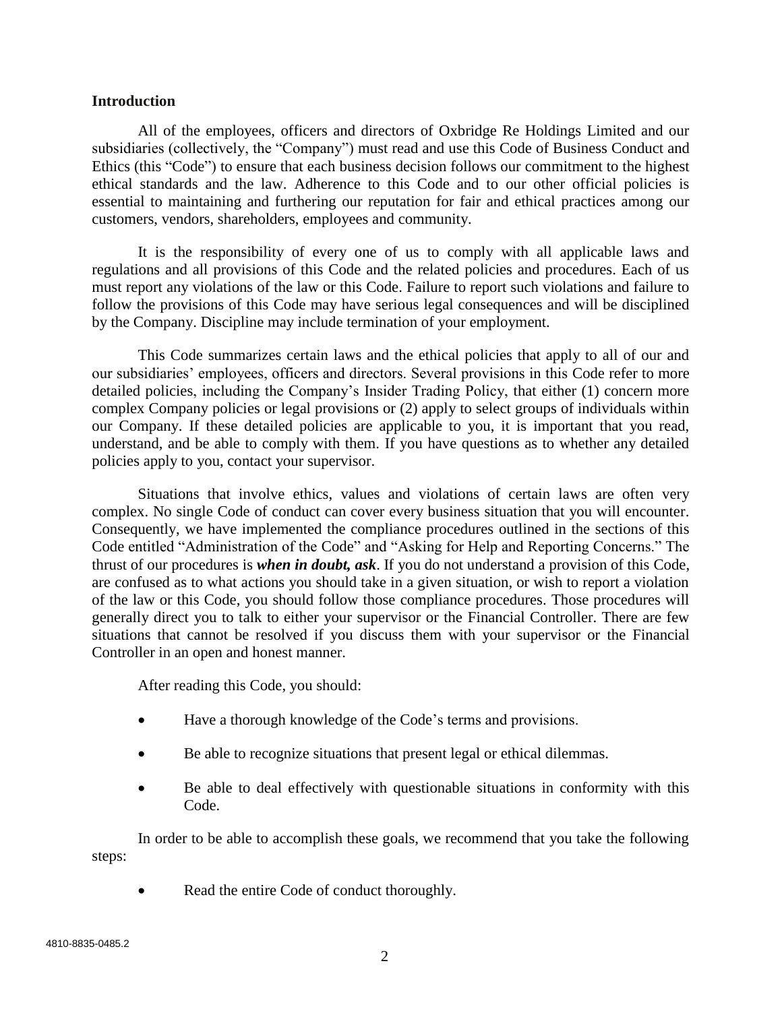### <span id="page-4-0"></span>**Introduction**

All of the employees, officers and directors of Oxbridge Re Holdings Limited and our subsidiaries (collectively, the "Company") must read and use this Code of Business Conduct and Ethics (this "Code") to ensure that each business decision follows our commitment to the highest ethical standards and the law. Adherence to this Code and to our other official policies is essential to maintaining and furthering our reputation for fair and ethical practices among our customers, vendors, shareholders, employees and community.

It is the responsibility of every one of us to comply with all applicable laws and regulations and all provisions of this Code and the related policies and procedures. Each of us must report any violations of the law or this Code. Failure to report such violations and failure to follow the provisions of this Code may have serious legal consequences and will be disciplined by the Company. Discipline may include termination of your employment.

This Code summarizes certain laws and the ethical policies that apply to all of our and our subsidiaries' employees, officers and directors. Several provisions in this Code refer to more detailed policies, including the Company's Insider Trading Policy, that either (1) concern more complex Company policies or legal provisions or (2) apply to select groups of individuals within our Company. If these detailed policies are applicable to you, it is important that you read, understand, and be able to comply with them. If you have questions as to whether any detailed policies apply to you, contact your supervisor.

Situations that involve ethics, values and violations of certain laws are often very complex. No single Code of conduct can cover every business situation that you will encounter. Consequently, we have implemented the compliance procedures outlined in the sections of this Code entitled "Administration of the Code" and "Asking for Help and Reporting Concerns." The thrust of our procedures is *when in doubt, ask*. If you do not understand a provision of this Code, are confused as to what actions you should take in a given situation, or wish to report a violation of the law or this Code, you should follow those compliance procedures. Those procedures will generally direct you to talk to either your supervisor or the Financial Controller. There are few situations that cannot be resolved if you discuss them with your supervisor or the Financial Controller in an open and honest manner.

After reading this Code, you should:

- Have a thorough knowledge of the Code's terms and provisions.
- Be able to recognize situations that present legal or ethical dilemmas.
- Be able to deal effectively with questionable situations in conformity with this Code.

In order to be able to accomplish these goals, we recommend that you take the following steps:

• Read the entire Code of conduct thoroughly.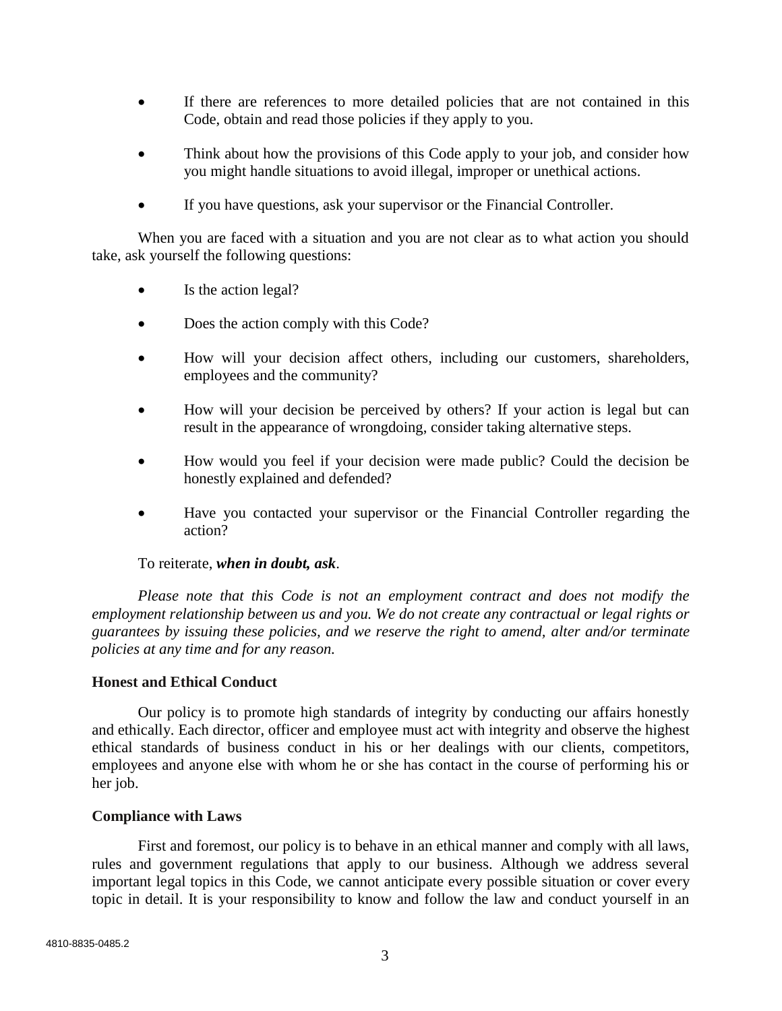- If there are references to more detailed policies that are not contained in this Code, obtain and read those policies if they apply to you.
- Think about how the provisions of this Code apply to your job, and consider how you might handle situations to avoid illegal, improper or unethical actions.
- If you have questions, ask your supervisor or the Financial Controller.

When you are faced with a situation and you are not clear as to what action you should take, ask yourself the following questions:

- Is the action legal?
- Does the action comply with this Code?
- How will your decision affect others, including our customers, shareholders, employees and the community?
- How will your decision be perceived by others? If your action is legal but can result in the appearance of wrongdoing, consider taking alternative steps.
- How would you feel if your decision were made public? Could the decision be honestly explained and defended?
- Have you contacted your supervisor or the Financial Controller regarding the action?

### To reiterate, *when in doubt, ask*.

*Please note that this Code is not an employment contract and does not modify the employment relationship between us and you. We do not create any contractual or legal rights or guarantees by issuing these policies, and we reserve the right to amend, alter and/or terminate policies at any time and for any reason.*

# <span id="page-5-0"></span>**Honest and Ethical Conduct**

Our policy is to promote high standards of integrity by conducting our affairs honestly and ethically. Each director, officer and employee must act with integrity and observe the highest ethical standards of business conduct in his or her dealings with our clients, competitors, employees and anyone else with whom he or she has contact in the course of performing his or her job.

### <span id="page-5-1"></span>**Compliance with Laws**

First and foremost, our policy is to behave in an ethical manner and comply with all laws, rules and government regulations that apply to our business. Although we address several important legal topics in this Code, we cannot anticipate every possible situation or cover every topic in detail. It is your responsibility to know and follow the law and conduct yourself in an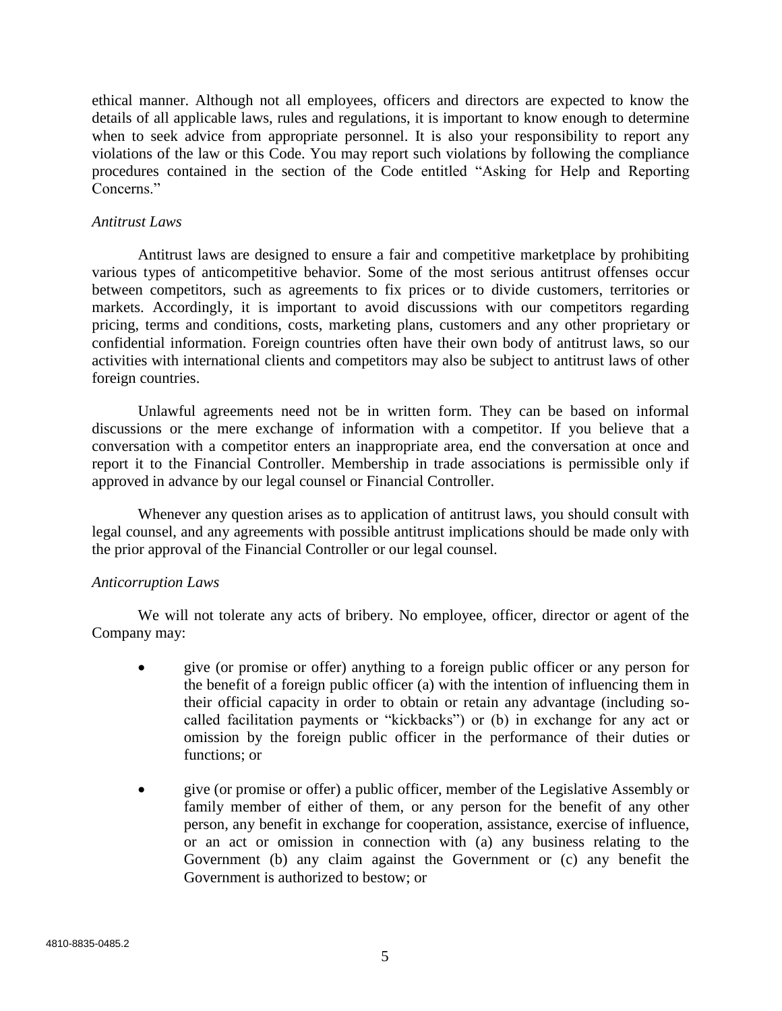ethical manner. Although not all employees, officers and directors are expected to know the details of all applicable laws, rules and regulations, it is important to know enough to determine when to seek advice from appropriate personnel. It is also your responsibility to report any violations of the law or this Code. You may report such violations by following the compliance procedures contained in the section of the Code entitled "Asking for Help and Reporting Concerns<sup>"</sup>

### <span id="page-6-0"></span>*Antitrust Laws*

Antitrust laws are designed to ensure a fair and competitive marketplace by prohibiting various types of anticompetitive behavior. Some of the most serious antitrust offenses occur between competitors, such as agreements to fix prices or to divide customers, territories or markets. Accordingly, it is important to avoid discussions with our competitors regarding pricing, terms and conditions, costs, marketing plans, customers and any other proprietary or confidential information. Foreign countries often have their own body of antitrust laws, so our activities with international clients and competitors may also be subject to antitrust laws of other foreign countries.

Unlawful agreements need not be in written form. They can be based on informal discussions or the mere exchange of information with a competitor. If you believe that a conversation with a competitor enters an inappropriate area, end the conversation at once and report it to the Financial Controller. Membership in trade associations is permissible only if approved in advance by our legal counsel or Financial Controller.

Whenever any question arises as to application of antitrust laws, you should consult with legal counsel, and any agreements with possible antitrust implications should be made only with the prior approval of the Financial Controller or our legal counsel.

# <span id="page-6-1"></span>*Anticorruption Laws*

We will not tolerate any acts of bribery. No employee, officer, director or agent of the Company may:

- give (or promise or offer) anything to a foreign public officer or any person for the benefit of a foreign public officer (a) with the intention of influencing them in their official capacity in order to obtain or retain any advantage (including socalled facilitation payments or "kickbacks") or (b) in exchange for any act or omission by the foreign public officer in the performance of their duties or functions; or
- give (or promise or offer) a public officer, member of the Legislative Assembly or family member of either of them, or any person for the benefit of any other person, any benefit in exchange for cooperation, assistance, exercise of influence, or an act or omission in connection with (a) any business relating to the Government (b) any claim against the Government or (c) any benefit the Government is authorized to bestow; or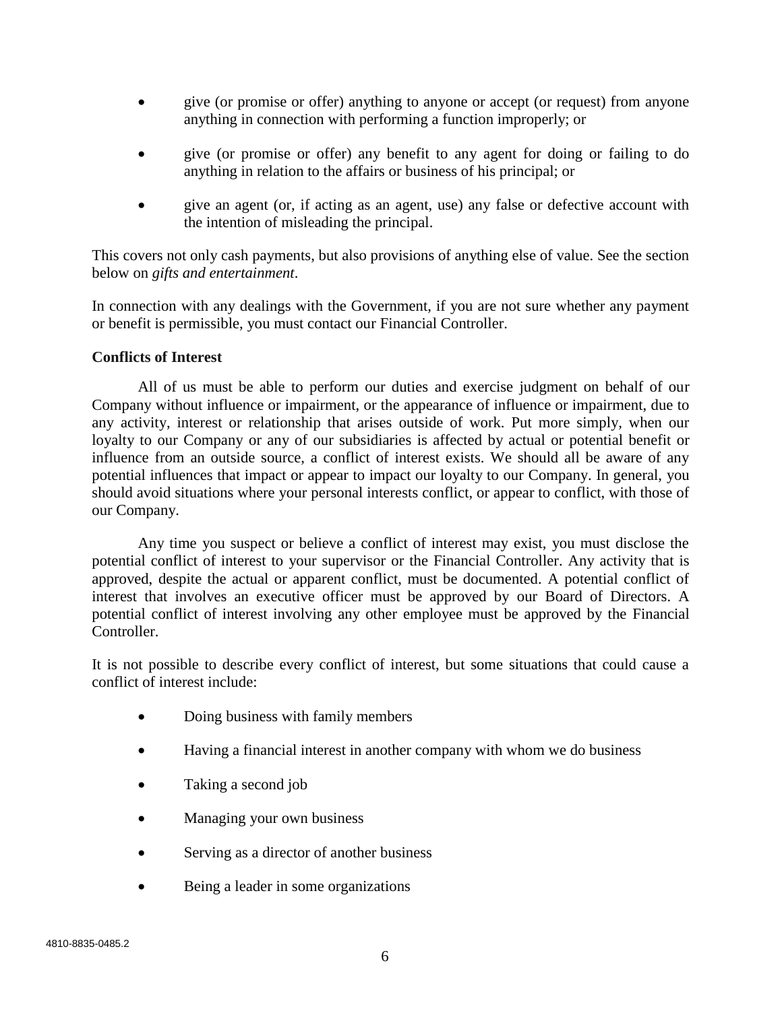- give (or promise or offer) anything to anyone or accept (or request) from anyone anything in connection with performing a function improperly; or
- give (or promise or offer) any benefit to any agent for doing or failing to do anything in relation to the affairs or business of his principal; or
- give an agent (or, if acting as an agent, use) any false or defective account with the intention of misleading the principal.

This covers not only cash payments, but also provisions of anything else of value. See the section below on *gifts and entertainment*.

In connection with any dealings with the Government, if you are not sure whether any payment or benefit is permissible, you must contact our Financial Controller.

# <span id="page-7-0"></span>**Conflicts of Interest**

All of us must be able to perform our duties and exercise judgment on behalf of our Company without influence or impairment, or the appearance of influence or impairment, due to any activity, interest or relationship that arises outside of work. Put more simply, when our loyalty to our Company or any of our subsidiaries is affected by actual or potential benefit or influence from an outside source, a conflict of interest exists. We should all be aware of any potential influences that impact or appear to impact our loyalty to our Company. In general, you should avoid situations where your personal interests conflict, or appear to conflict, with those of our Company.

Any time you suspect or believe a conflict of interest may exist, you must disclose the potential conflict of interest to your supervisor or the Financial Controller. Any activity that is approved, despite the actual or apparent conflict, must be documented. A potential conflict of interest that involves an executive officer must be approved by our Board of Directors. A potential conflict of interest involving any other employee must be approved by the Financial Controller.

It is not possible to describe every conflict of interest, but some situations that could cause a conflict of interest include:

- Doing business with family members
- Having a financial interest in another company with whom we do business
- Taking a second job
- Managing your own business
- Serving as a director of another business
- Being a leader in some organizations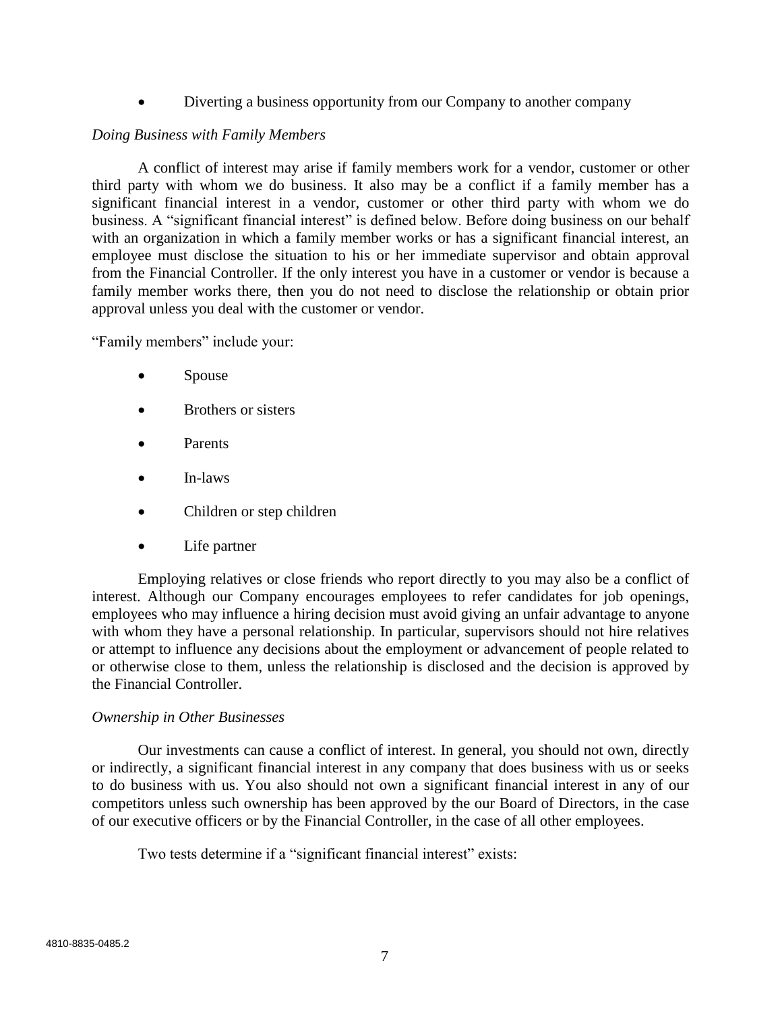Diverting a business opportunity from our Company to another company

# <span id="page-8-0"></span>*Doing Business with Family Members*

A conflict of interest may arise if family members work for a vendor, customer or other third party with whom we do business. It also may be a conflict if a family member has a significant financial interest in a vendor, customer or other third party with whom we do business. A "significant financial interest" is defined below. Before doing business on our behalf with an organization in which a family member works or has a significant financial interest, an employee must disclose the situation to his or her immediate supervisor and obtain approval from the Financial Controller. If the only interest you have in a customer or vendor is because a family member works there, then you do not need to disclose the relationship or obtain prior approval unless you deal with the customer or vendor.

"Family members" include your:

- Spouse
- Brothers or sisters
- Parents
- In-laws
- Children or step children
- Life partner

Employing relatives or close friends who report directly to you may also be a conflict of interest. Although our Company encourages employees to refer candidates for job openings, employees who may influence a hiring decision must avoid giving an unfair advantage to anyone with whom they have a personal relationship. In particular, supervisors should not hire relatives or attempt to influence any decisions about the employment or advancement of people related to or otherwise close to them, unless the relationship is disclosed and the decision is approved by the Financial Controller.

# <span id="page-8-1"></span>*Ownership in Other Businesses*

Our investments can cause a conflict of interest. In general, you should not own, directly or indirectly, a significant financial interest in any company that does business with us or seeks to do business with us. You also should not own a significant financial interest in any of our competitors unless such ownership has been approved by the our Board of Directors, in the case of our executive officers or by the Financial Controller, in the case of all other employees.

Two tests determine if a "significant financial interest" exists: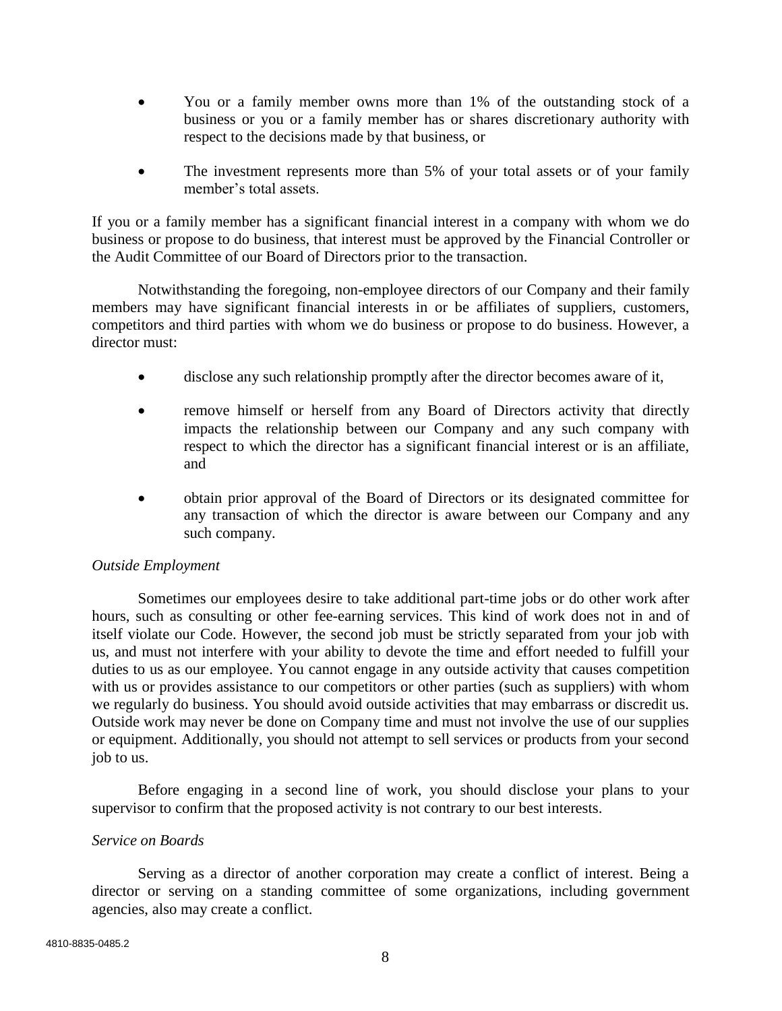- You or a family member owns more than 1% of the outstanding stock of a business or you or a family member has or shares discretionary authority with respect to the decisions made by that business, or
- The investment represents more than 5% of your total assets or of your family member's total assets.

If you or a family member has a significant financial interest in a company with whom we do business or propose to do business, that interest must be approved by the Financial Controller or the Audit Committee of our Board of Directors prior to the transaction.

Notwithstanding the foregoing, non-employee directors of our Company and their family members may have significant financial interests in or be affiliates of suppliers, customers, competitors and third parties with whom we do business or propose to do business. However, a director must:

- disclose any such relationship promptly after the director becomes aware of it,
- remove himself or herself from any Board of Directors activity that directly impacts the relationship between our Company and any such company with respect to which the director has a significant financial interest or is an affiliate, and
- obtain prior approval of the Board of Directors or its designated committee for any transaction of which the director is aware between our Company and any such company.

# <span id="page-9-0"></span>*Outside Employment*

Sometimes our employees desire to take additional part-time jobs or do other work after hours, such as consulting or other fee-earning services. This kind of work does not in and of itself violate our Code. However, the second job must be strictly separated from your job with us, and must not interfere with your ability to devote the time and effort needed to fulfill your duties to us as our employee. You cannot engage in any outside activity that causes competition with us or provides assistance to our competitors or other parties (such as suppliers) with whom we regularly do business. You should avoid outside activities that may embarrass or discredit us. Outside work may never be done on Company time and must not involve the use of our supplies or equipment. Additionally, you should not attempt to sell services or products from your second job to us.

Before engaging in a second line of work, you should disclose your plans to your supervisor to confirm that the proposed activity is not contrary to our best interests.

### <span id="page-9-1"></span>*Service on Boards*

Serving as a director of another corporation may create a conflict of interest. Being a director or serving on a standing committee of some organizations, including government agencies, also may create a conflict.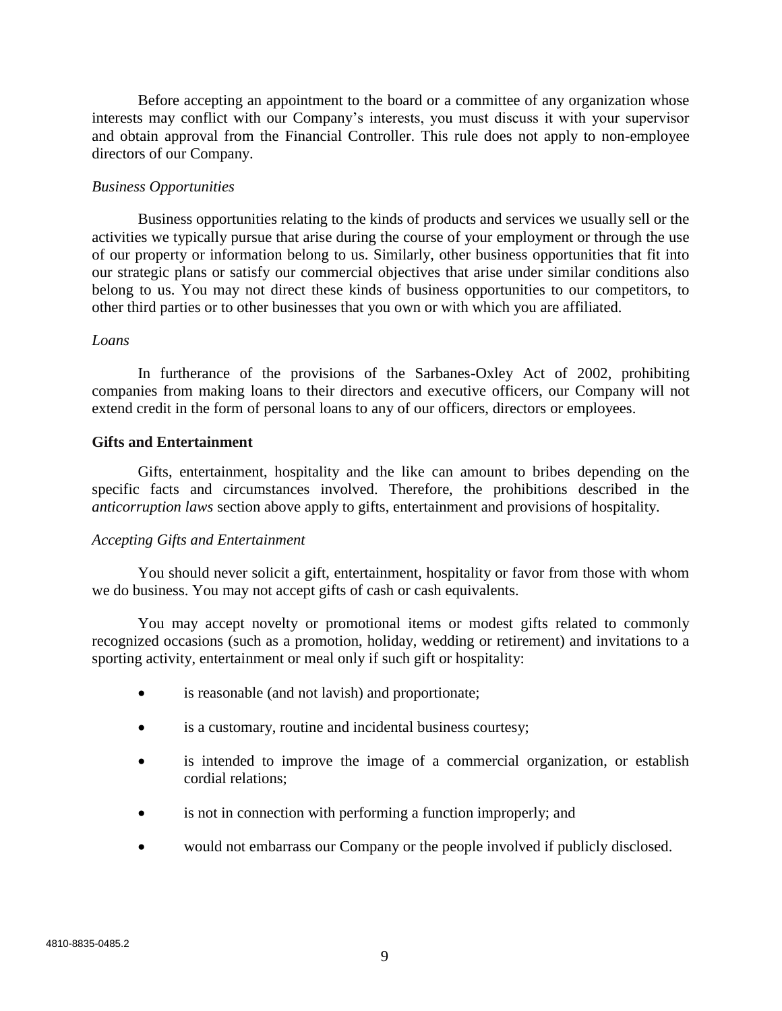Before accepting an appointment to the board or a committee of any organization whose interests may conflict with our Company's interests, you must discuss it with your supervisor and obtain approval from the Financial Controller. This rule does not apply to non-employee directors of our Company.

### <span id="page-10-0"></span>*Business Opportunities*

Business opportunities relating to the kinds of products and services we usually sell or the activities we typically pursue that arise during the course of your employment or through the use of our property or information belong to us. Similarly, other business opportunities that fit into our strategic plans or satisfy our commercial objectives that arise under similar conditions also belong to us. You may not direct these kinds of business opportunities to our competitors, to other third parties or to other businesses that you own or with which you are affiliated.

### <span id="page-10-1"></span>*Loans*

In furtherance of the provisions of the Sarbanes-Oxley Act of 2002, prohibiting companies from making loans to their directors and executive officers, our Company will not extend credit in the form of personal loans to any of our officers, directors or employees.

### <span id="page-10-2"></span>**Gifts and Entertainment**

Gifts, entertainment, hospitality and the like can amount to bribes depending on the specific facts and circumstances involved. Therefore, the prohibitions described in the *anticorruption laws* section above apply to gifts, entertainment and provisions of hospitality.

# <span id="page-10-3"></span>*Accepting Gifts and Entertainment*

You should never solicit a gift, entertainment, hospitality or favor from those with whom we do business. You may not accept gifts of cash or cash equivalents.

You may accept novelty or promotional items or modest gifts related to commonly recognized occasions (such as a promotion, holiday, wedding or retirement) and invitations to a sporting activity, entertainment or meal only if such gift or hospitality:

- is reasonable (and not lavish) and proportionate;
- is a customary, routine and incidental business courtesy;
- is intended to improve the image of a commercial organization, or establish cordial relations;
- is not in connection with performing a function improperly; and
- would not embarrass our Company or the people involved if publicly disclosed.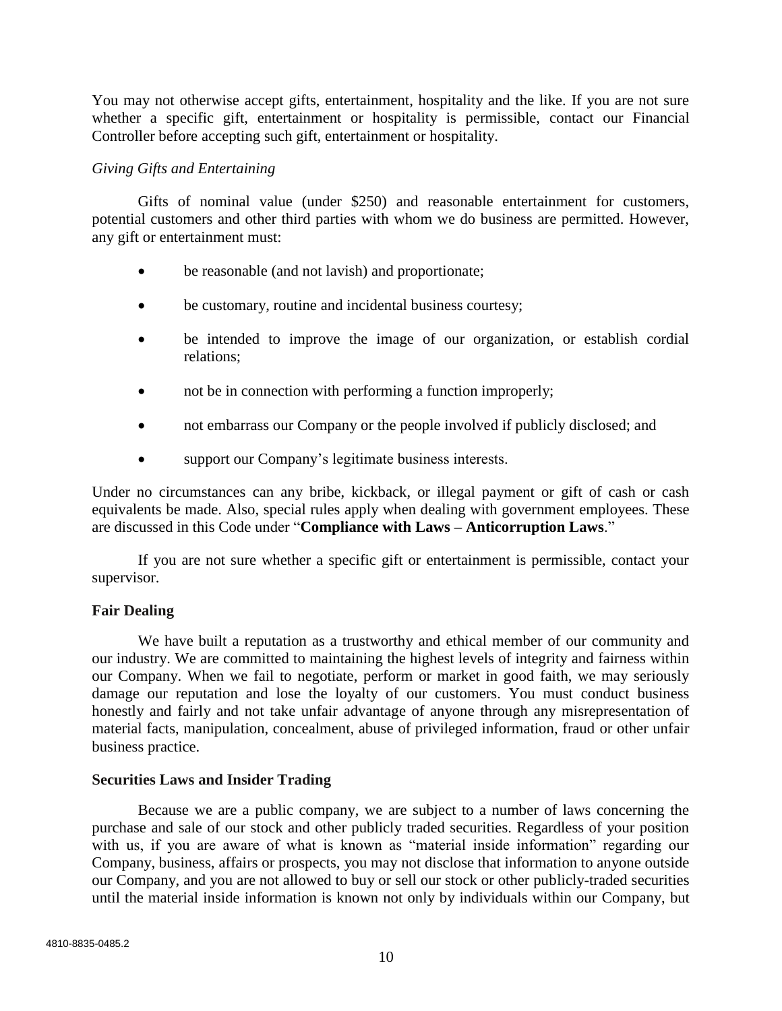You may not otherwise accept gifts, entertainment, hospitality and the like. If you are not sure whether a specific gift, entertainment or hospitality is permissible, contact our Financial Controller before accepting such gift, entertainment or hospitality.

# <span id="page-11-0"></span>*Giving Gifts and Entertaining*

Gifts of nominal value (under \$250) and reasonable entertainment for customers, potential customers and other third parties with whom we do business are permitted. However, any gift or entertainment must:

- be reasonable (and not lavish) and proportionate;
- be customary, routine and incidental business courtesy;
- be intended to improve the image of our organization, or establish cordial relations;
- not be in connection with performing a function improperly;
- not embarrass our Company or the people involved if publicly disclosed; and
- support our Company's legitimate business interests.

Under no circumstances can any bribe, kickback, or illegal payment or gift of cash or cash equivalents be made. Also, special rules apply when dealing with government employees. These are discussed in this Code under "**Compliance with Laws – Anticorruption Laws**."

If you are not sure whether a specific gift or entertainment is permissible, contact your supervisor.

# <span id="page-11-1"></span>**Fair Dealing**

We have built a reputation as a trustworthy and ethical member of our community and our industry. We are committed to maintaining the highest levels of integrity and fairness within our Company. When we fail to negotiate, perform or market in good faith, we may seriously damage our reputation and lose the loyalty of our customers. You must conduct business honestly and fairly and not take unfair advantage of anyone through any misrepresentation of material facts, manipulation, concealment, abuse of privileged information, fraud or other unfair business practice.

# <span id="page-11-2"></span>**Securities Laws and Insider Trading**

Because we are a public company, we are subject to a number of laws concerning the purchase and sale of our stock and other publicly traded securities. Regardless of your position with us, if you are aware of what is known as "material inside information" regarding our Company, business, affairs or prospects, you may not disclose that information to anyone outside our Company, and you are not allowed to buy or sell our stock or other publicly-traded securities until the material inside information is known not only by individuals within our Company, but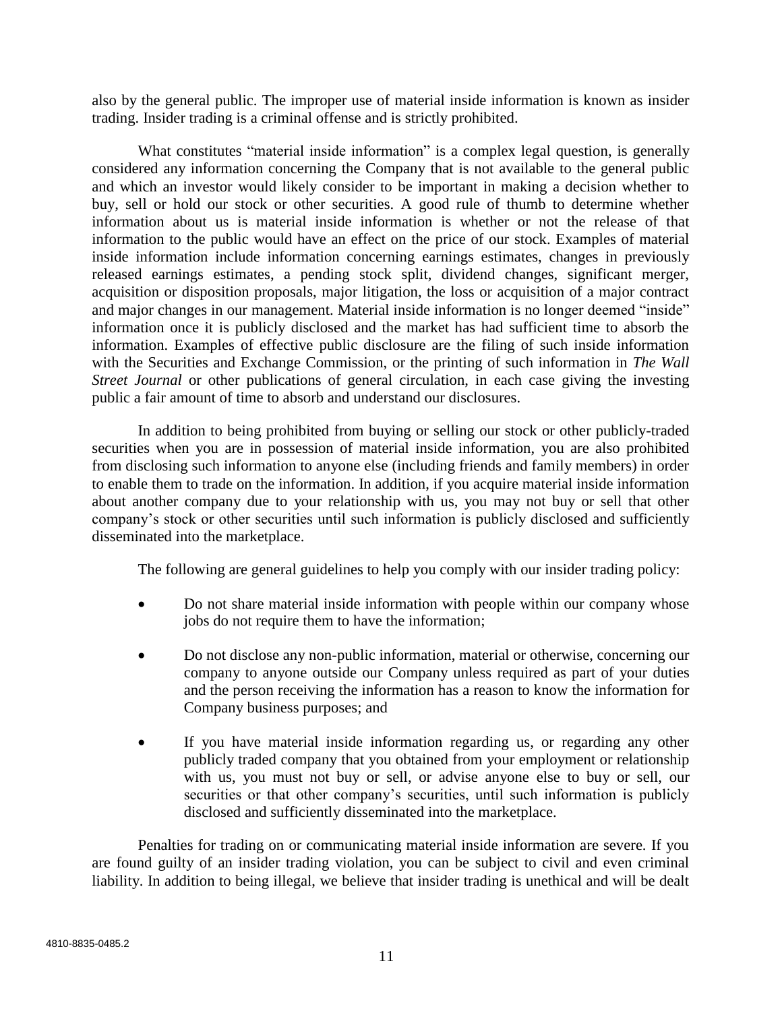also by the general public. The improper use of material inside information is known as insider trading. Insider trading is a criminal offense and is strictly prohibited.

What constitutes "material inside information" is a complex legal question, is generally considered any information concerning the Company that is not available to the general public and which an investor would likely consider to be important in making a decision whether to buy, sell or hold our stock or other securities. A good rule of thumb to determine whether information about us is material inside information is whether or not the release of that information to the public would have an effect on the price of our stock. Examples of material inside information include information concerning earnings estimates, changes in previously released earnings estimates, a pending stock split, dividend changes, significant merger, acquisition or disposition proposals, major litigation, the loss or acquisition of a major contract and major changes in our management. Material inside information is no longer deemed "inside" information once it is publicly disclosed and the market has had sufficient time to absorb the information. Examples of effective public disclosure are the filing of such inside information with the Securities and Exchange Commission, or the printing of such information in *The Wall Street Journal* or other publications of general circulation, in each case giving the investing public a fair amount of time to absorb and understand our disclosures.

In addition to being prohibited from buying or selling our stock or other publicly-traded securities when you are in possession of material inside information, you are also prohibited from disclosing such information to anyone else (including friends and family members) in order to enable them to trade on the information. In addition, if you acquire material inside information about another company due to your relationship with us, you may not buy or sell that other company's stock or other securities until such information is publicly disclosed and sufficiently disseminated into the marketplace.

The following are general guidelines to help you comply with our insider trading policy:

- Do not share material inside information with people within our company whose jobs do not require them to have the information;
- Do not disclose any non-public information, material or otherwise, concerning our company to anyone outside our Company unless required as part of your duties and the person receiving the information has a reason to know the information for Company business purposes; and
- If you have material inside information regarding us, or regarding any other publicly traded company that you obtained from your employment or relationship with us, you must not buy or sell, or advise anyone else to buy or sell, our securities or that other company's securities, until such information is publicly disclosed and sufficiently disseminated into the marketplace.

Penalties for trading on or communicating material inside information are severe. If you are found guilty of an insider trading violation, you can be subject to civil and even criminal liability. In addition to being illegal, we believe that insider trading is unethical and will be dealt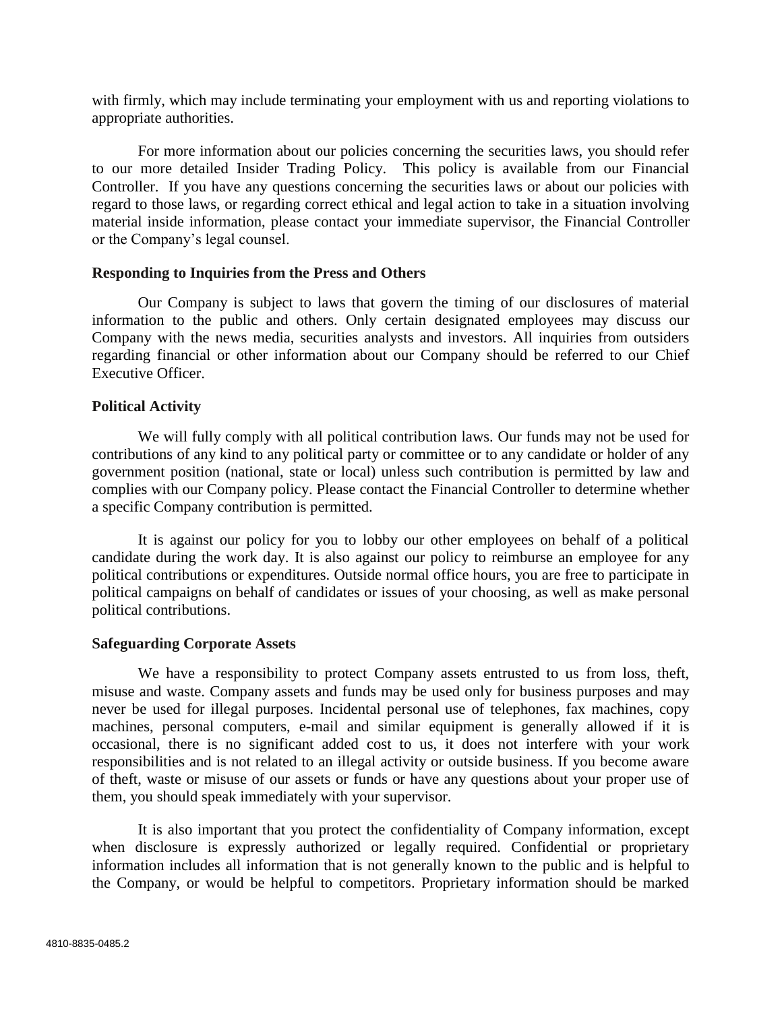with firmly, which may include terminating your employment with us and reporting violations to appropriate authorities.

For more information about our policies concerning the securities laws, you should refer to our more detailed Insider Trading Policy. This policy is available from our Financial Controller. If you have any questions concerning the securities laws or about our policies with regard to those laws, or regarding correct ethical and legal action to take in a situation involving material inside information, please contact your immediate supervisor, the Financial Controller or the Company's legal counsel.

### <span id="page-13-0"></span>**Responding to Inquiries from the Press and Others**

Our Company is subject to laws that govern the timing of our disclosures of material information to the public and others. Only certain designated employees may discuss our Company with the news media, securities analysts and investors. All inquiries from outsiders regarding financial or other information about our Company should be referred to our Chief Executive Officer.

# <span id="page-13-1"></span>**Political Activity**

We will fully comply with all political contribution laws. Our funds may not be used for contributions of any kind to any political party or committee or to any candidate or holder of any government position (national, state or local) unless such contribution is permitted by law and complies with our Company policy. Please contact the Financial Controller to determine whether a specific Company contribution is permitted.

It is against our policy for you to lobby our other employees on behalf of a political candidate during the work day. It is also against our policy to reimburse an employee for any political contributions or expenditures. Outside normal office hours, you are free to participate in political campaigns on behalf of candidates or issues of your choosing, as well as make personal political contributions.

### <span id="page-13-2"></span>**Safeguarding Corporate Assets**

We have a responsibility to protect Company assets entrusted to us from loss, theft, misuse and waste. Company assets and funds may be used only for business purposes and may never be used for illegal purposes. Incidental personal use of telephones, fax machines, copy machines, personal computers, e-mail and similar equipment is generally allowed if it is occasional, there is no significant added cost to us, it does not interfere with your work responsibilities and is not related to an illegal activity or outside business. If you become aware of theft, waste or misuse of our assets or funds or have any questions about your proper use of them, you should speak immediately with your supervisor.

It is also important that you protect the confidentiality of Company information, except when disclosure is expressly authorized or legally required. Confidential or proprietary information includes all information that is not generally known to the public and is helpful to the Company, or would be helpful to competitors. Proprietary information should be marked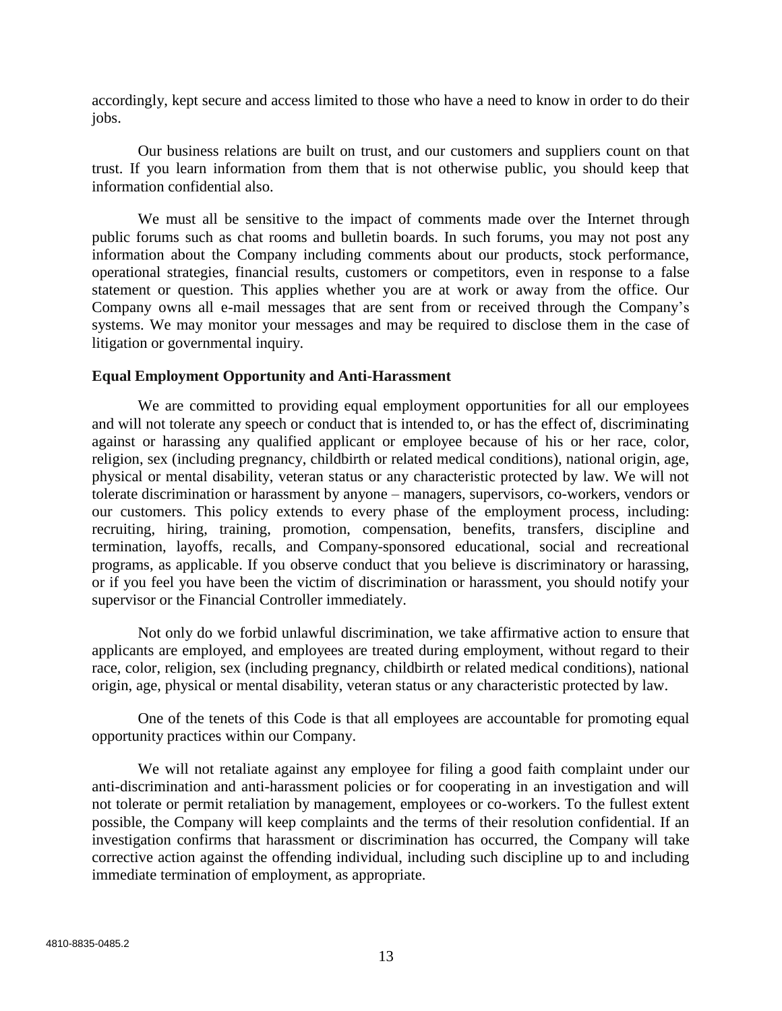accordingly, kept secure and access limited to those who have a need to know in order to do their jobs.

Our business relations are built on trust, and our customers and suppliers count on that trust. If you learn information from them that is not otherwise public, you should keep that information confidential also.

We must all be sensitive to the impact of comments made over the Internet through public forums such as chat rooms and bulletin boards. In such forums, you may not post any information about the Company including comments about our products, stock performance, operational strategies, financial results, customers or competitors, even in response to a false statement or question. This applies whether you are at work or away from the office. Our Company owns all e-mail messages that are sent from or received through the Company's systems. We may monitor your messages and may be required to disclose them in the case of litigation or governmental inquiry.

### <span id="page-14-0"></span>**Equal Employment Opportunity and Anti-Harassment**

We are committed to providing equal employment opportunities for all our employees and will not tolerate any speech or conduct that is intended to, or has the effect of, discriminating against or harassing any qualified applicant or employee because of his or her race, color, religion, sex (including pregnancy, childbirth or related medical conditions), national origin, age, physical or mental disability, veteran status or any characteristic protected by law. We will not tolerate discrimination or harassment by anyone – managers, supervisors, co-workers, vendors or our customers. This policy extends to every phase of the employment process, including: recruiting, hiring, training, promotion, compensation, benefits, transfers, discipline and termination, layoffs, recalls, and Company-sponsored educational, social and recreational programs, as applicable. If you observe conduct that you believe is discriminatory or harassing, or if you feel you have been the victim of discrimination or harassment, you should notify your supervisor or the Financial Controller immediately.

Not only do we forbid unlawful discrimination, we take affirmative action to ensure that applicants are employed, and employees are treated during employment, without regard to their race, color, religion, sex (including pregnancy, childbirth or related medical conditions), national origin, age, physical or mental disability, veteran status or any characteristic protected by law.

One of the tenets of this Code is that all employees are accountable for promoting equal opportunity practices within our Company.

We will not retaliate against any employee for filing a good faith complaint under our anti-discrimination and anti-harassment policies or for cooperating in an investigation and will not tolerate or permit retaliation by management, employees or co-workers. To the fullest extent possible, the Company will keep complaints and the terms of their resolution confidential. If an investigation confirms that harassment or discrimination has occurred, the Company will take corrective action against the offending individual, including such discipline up to and including immediate termination of employment, as appropriate.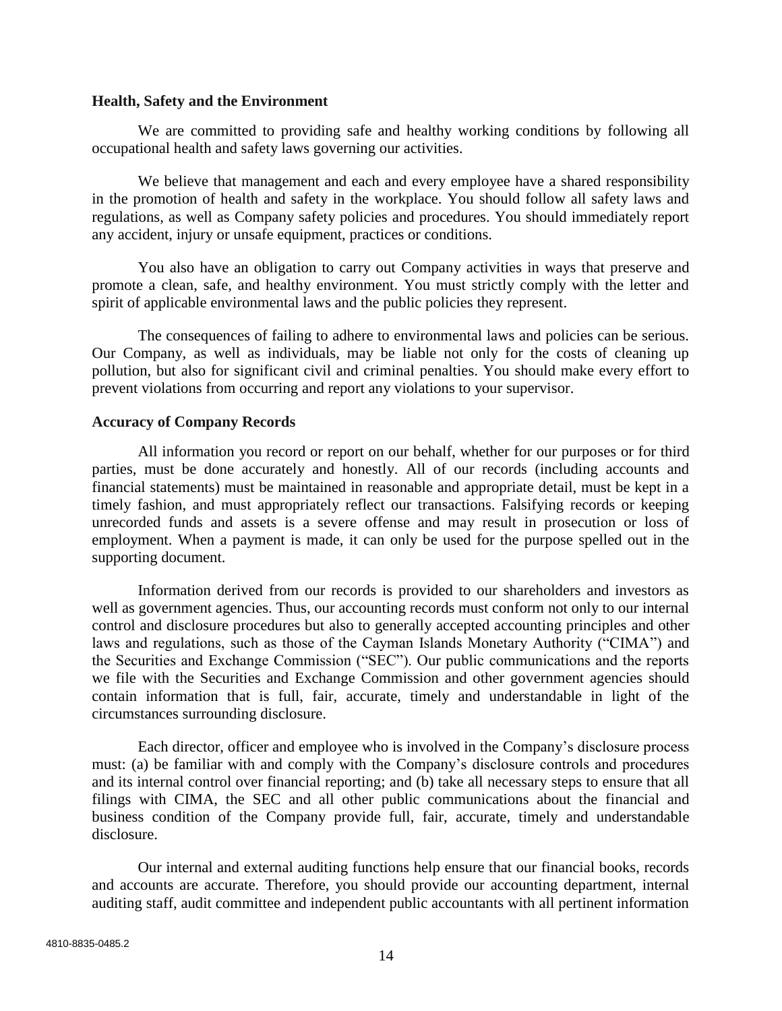### <span id="page-15-0"></span>**Health, Safety and the Environment**

We are committed to providing safe and healthy working conditions by following all occupational health and safety laws governing our activities.

We believe that management and each and every employee have a shared responsibility in the promotion of health and safety in the workplace. You should follow all safety laws and regulations, as well as Company safety policies and procedures. You should immediately report any accident, injury or unsafe equipment, practices or conditions.

You also have an obligation to carry out Company activities in ways that preserve and promote a clean, safe, and healthy environment. You must strictly comply with the letter and spirit of applicable environmental laws and the public policies they represent.

The consequences of failing to adhere to environmental laws and policies can be serious. Our Company, as well as individuals, may be liable not only for the costs of cleaning up pollution, but also for significant civil and criminal penalties. You should make every effort to prevent violations from occurring and report any violations to your supervisor.

### <span id="page-15-1"></span>**Accuracy of Company Records**

All information you record or report on our behalf, whether for our purposes or for third parties, must be done accurately and honestly. All of our records (including accounts and financial statements) must be maintained in reasonable and appropriate detail, must be kept in a timely fashion, and must appropriately reflect our transactions. Falsifying records or keeping unrecorded funds and assets is a severe offense and may result in prosecution or loss of employment. When a payment is made, it can only be used for the purpose spelled out in the supporting document.

Information derived from our records is provided to our shareholders and investors as well as government agencies. Thus, our accounting records must conform not only to our internal control and disclosure procedures but also to generally accepted accounting principles and other laws and regulations, such as those of the Cayman Islands Monetary Authority ("CIMA") and the Securities and Exchange Commission ("SEC"). Our public communications and the reports we file with the Securities and Exchange Commission and other government agencies should contain information that is full, fair, accurate, timely and understandable in light of the circumstances surrounding disclosure.

Each director, officer and employee who is involved in the Company's disclosure process must: (a) be familiar with and comply with the Company's disclosure controls and procedures and its internal control over financial reporting; and (b) take all necessary steps to ensure that all filings with CIMA, the SEC and all other public communications about the financial and business condition of the Company provide full, fair, accurate, timely and understandable disclosure.

Our internal and external auditing functions help ensure that our financial books, records and accounts are accurate. Therefore, you should provide our accounting department, internal auditing staff, audit committee and independent public accountants with all pertinent information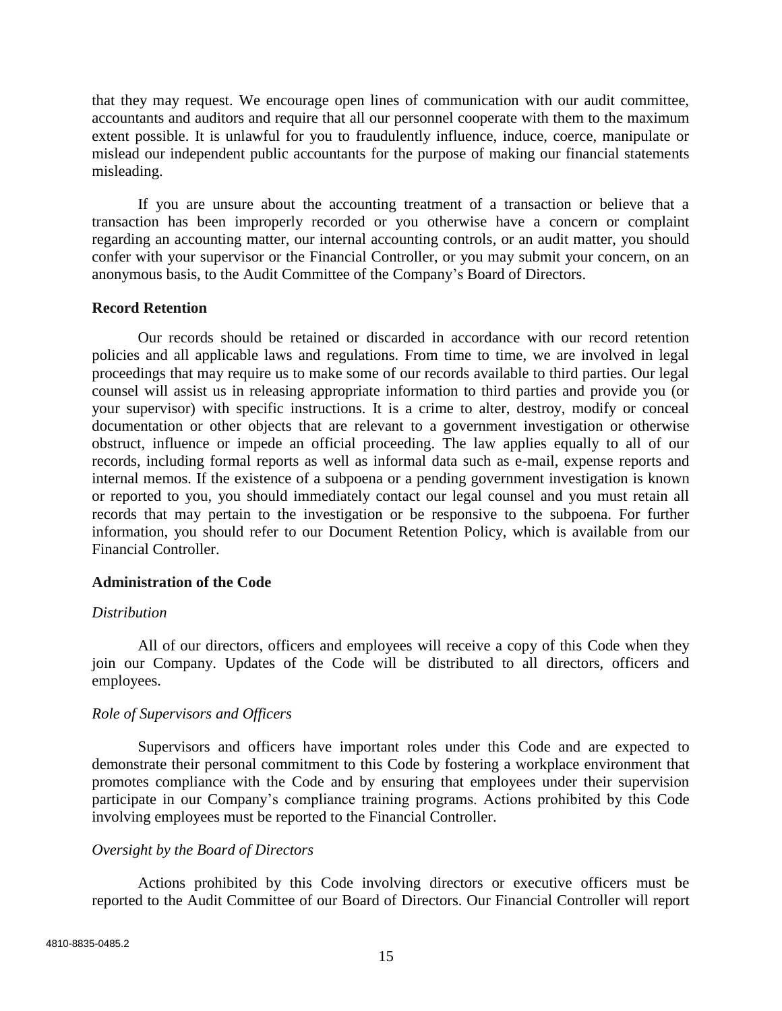that they may request. We encourage open lines of communication with our audit committee, accountants and auditors and require that all our personnel cooperate with them to the maximum extent possible. It is unlawful for you to fraudulently influence, induce, coerce, manipulate or mislead our independent public accountants for the purpose of making our financial statements misleading.

If you are unsure about the accounting treatment of a transaction or believe that a transaction has been improperly recorded or you otherwise have a concern or complaint regarding an accounting matter, our internal accounting controls, or an audit matter, you should confer with your supervisor or the Financial Controller, or you may submit your concern, on an anonymous basis, to the Audit Committee of the Company's Board of Directors.

### <span id="page-16-0"></span>**Record Retention**

Our records should be retained or discarded in accordance with our record retention policies and all applicable laws and regulations. From time to time, we are involved in legal proceedings that may require us to make some of our records available to third parties. Our legal counsel will assist us in releasing appropriate information to third parties and provide you (or your supervisor) with specific instructions. It is a crime to alter, destroy, modify or conceal documentation or other objects that are relevant to a government investigation or otherwise obstruct, influence or impede an official proceeding. The law applies equally to all of our records, including formal reports as well as informal data such as e-mail, expense reports and internal memos. If the existence of a subpoena or a pending government investigation is known or reported to you, you should immediately contact our legal counsel and you must retain all records that may pertain to the investigation or be responsive to the subpoena. For further information, you should refer to our Document Retention Policy, which is available from our Financial Controller.

# <span id="page-16-1"></span>**Administration of the Code**

# <span id="page-16-2"></span>*Distribution*

All of our directors, officers and employees will receive a copy of this Code when they join our Company. Updates of the Code will be distributed to all directors, officers and employees.

# <span id="page-16-3"></span>*Role of Supervisors and Officers*

Supervisors and officers have important roles under this Code and are expected to demonstrate their personal commitment to this Code by fostering a workplace environment that promotes compliance with the Code and by ensuring that employees under their supervision participate in our Company's compliance training programs. Actions prohibited by this Code involving employees must be reported to the Financial Controller.

# <span id="page-16-4"></span>*Oversight by the Board of Directors*

Actions prohibited by this Code involving directors or executive officers must be reported to the Audit Committee of our Board of Directors. Our Financial Controller will report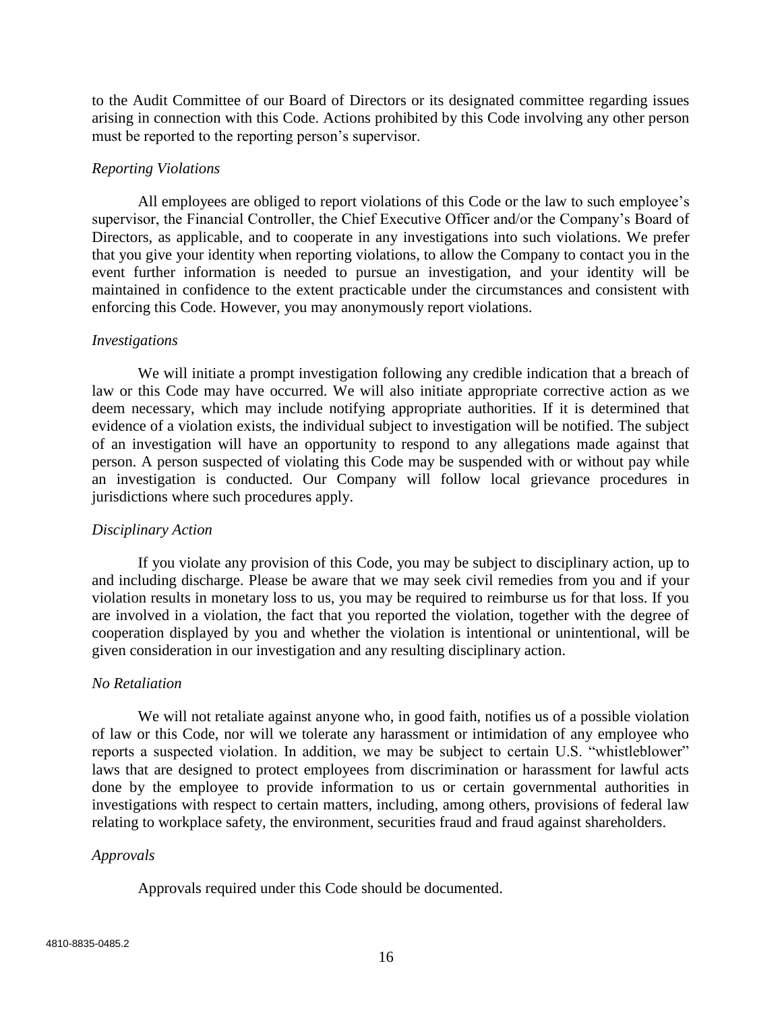to the Audit Committee of our Board of Directors or its designated committee regarding issues arising in connection with this Code. Actions prohibited by this Code involving any other person must be reported to the reporting person's supervisor.

# <span id="page-17-0"></span>*Reporting Violations*

All employees are obliged to report violations of this Code or the law to such employee's supervisor, the Financial Controller, the Chief Executive Officer and/or the Company's Board of Directors, as applicable, and to cooperate in any investigations into such violations. We prefer that you give your identity when reporting violations, to allow the Company to contact you in the event further information is needed to pursue an investigation, and your identity will be maintained in confidence to the extent practicable under the circumstances and consistent with enforcing this Code. However, you may anonymously report violations.

### <span id="page-17-1"></span>*Investigations*

We will initiate a prompt investigation following any credible indication that a breach of law or this Code may have occurred. We will also initiate appropriate corrective action as we deem necessary, which may include notifying appropriate authorities. If it is determined that evidence of a violation exists, the individual subject to investigation will be notified. The subject of an investigation will have an opportunity to respond to any allegations made against that person. A person suspected of violating this Code may be suspended with or without pay while an investigation is conducted. Our Company will follow local grievance procedures in jurisdictions where such procedures apply.

# <span id="page-17-2"></span>*Disciplinary Action*

If you violate any provision of this Code, you may be subject to disciplinary action, up to and including discharge. Please be aware that we may seek civil remedies from you and if your violation results in monetary loss to us, you may be required to reimburse us for that loss. If you are involved in a violation, the fact that you reported the violation, together with the degree of cooperation displayed by you and whether the violation is intentional or unintentional, will be given consideration in our investigation and any resulting disciplinary action.

# <span id="page-17-3"></span>*No Retaliation*

We will not retaliate against anyone who, in good faith, notifies us of a possible violation of law or this Code, nor will we tolerate any harassment or intimidation of any employee who reports a suspected violation. In addition, we may be subject to certain U.S. "whistleblower" laws that are designed to protect employees from discrimination or harassment for lawful acts done by the employee to provide information to us or certain governmental authorities in investigations with respect to certain matters, including, among others, provisions of federal law relating to workplace safety, the environment, securities fraud and fraud against shareholders.

### <span id="page-17-4"></span>*Approvals*

Approvals required under this Code should be documented.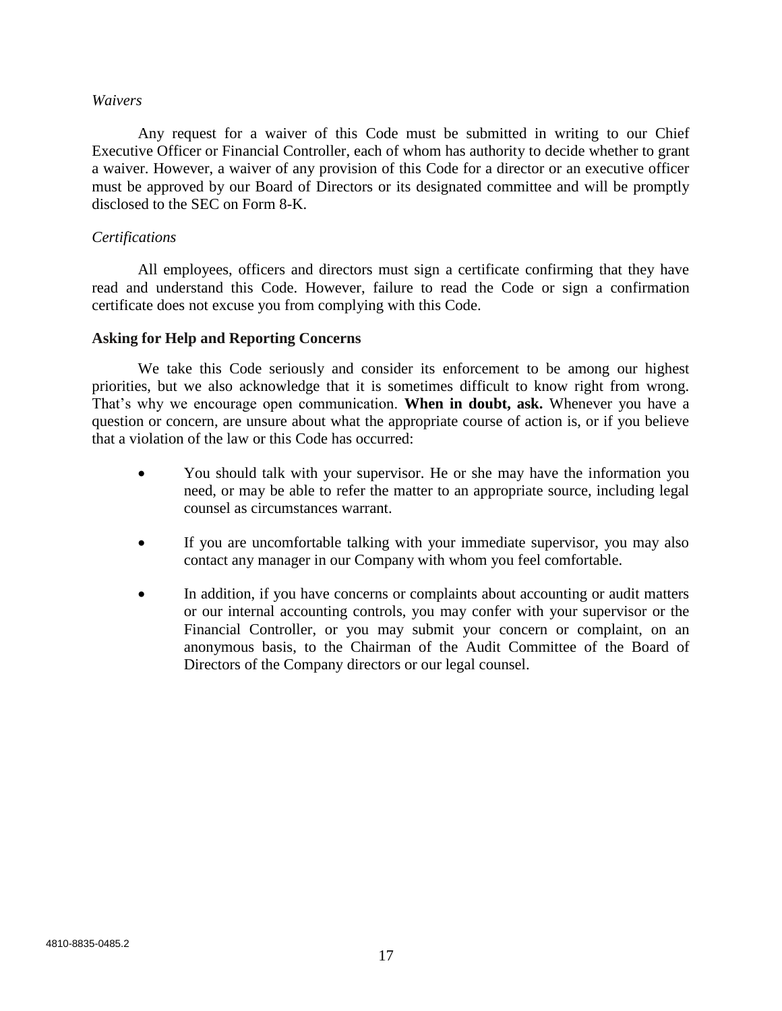### <span id="page-18-0"></span>*Waivers*

Any request for a waiver of this Code must be submitted in writing to our Chief Executive Officer or Financial Controller, each of whom has authority to decide whether to grant a waiver. However, a waiver of any provision of this Code for a director or an executive officer must be approved by our Board of Directors or its designated committee and will be promptly disclosed to the SEC on Form 8-K.

# <span id="page-18-1"></span>*Certifications*

All employees, officers and directors must sign a certificate confirming that they have read and understand this Code. However, failure to read the Code or sign a confirmation certificate does not excuse you from complying with this Code.

### <span id="page-18-2"></span>**Asking for Help and Reporting Concerns**

We take this Code seriously and consider its enforcement to be among our highest priorities, but we also acknowledge that it is sometimes difficult to know right from wrong. That's why we encourage open communication. **When in doubt, ask.** Whenever you have a question or concern, are unsure about what the appropriate course of action is, or if you believe that a violation of the law or this Code has occurred:

- You should talk with your supervisor. He or she may have the information you need, or may be able to refer the matter to an appropriate source, including legal counsel as circumstances warrant.
- If you are uncomfortable talking with your immediate supervisor, you may also contact any manager in our Company with whom you feel comfortable.
- In addition, if you have concerns or complaints about accounting or audit matters or our internal accounting controls, you may confer with your supervisor or the Financial Controller, or you may submit your concern or complaint, on an anonymous basis, to the Chairman of the Audit Committee of the Board of Directors of the Company directors or our legal counsel.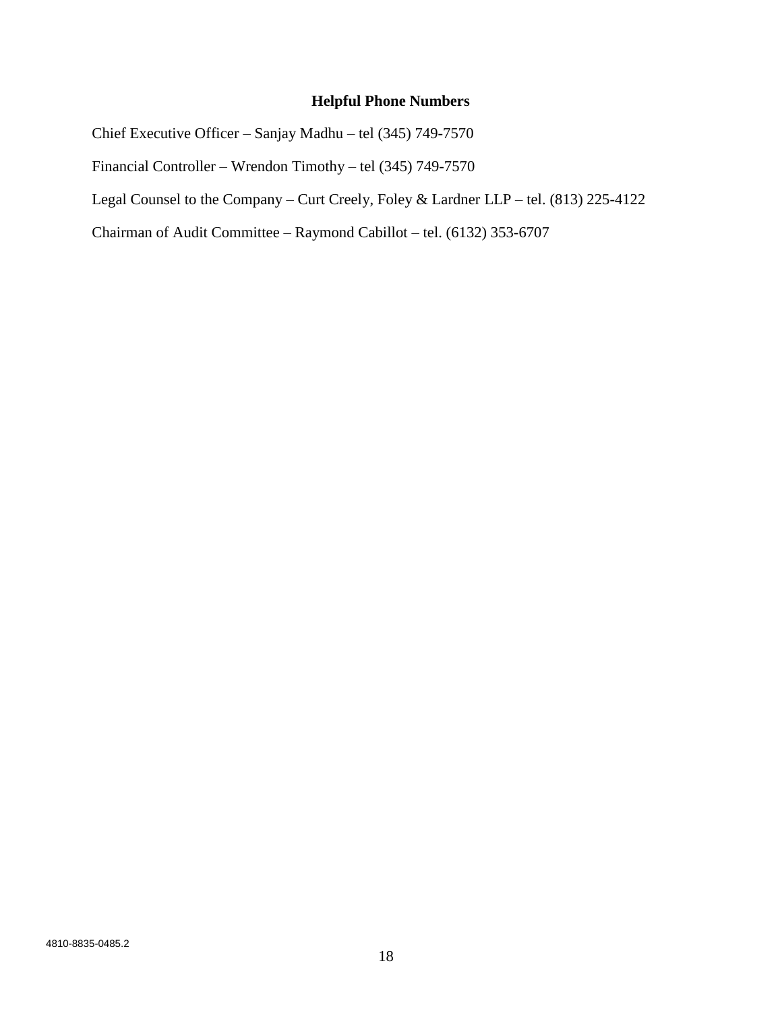# **Helpful Phone Numbers**

Chief Executive Officer – Sanjay Madhu – tel (345) 749-7570

Financial Controller – Wrendon Timothy – tel (345) 749-7570

Legal Counsel to the Company – Curt Creely, Foley & Lardner LLP – tel. (813) 225-4122

Chairman of Audit Committee – Raymond Cabillot – tel. (6132) 353-6707